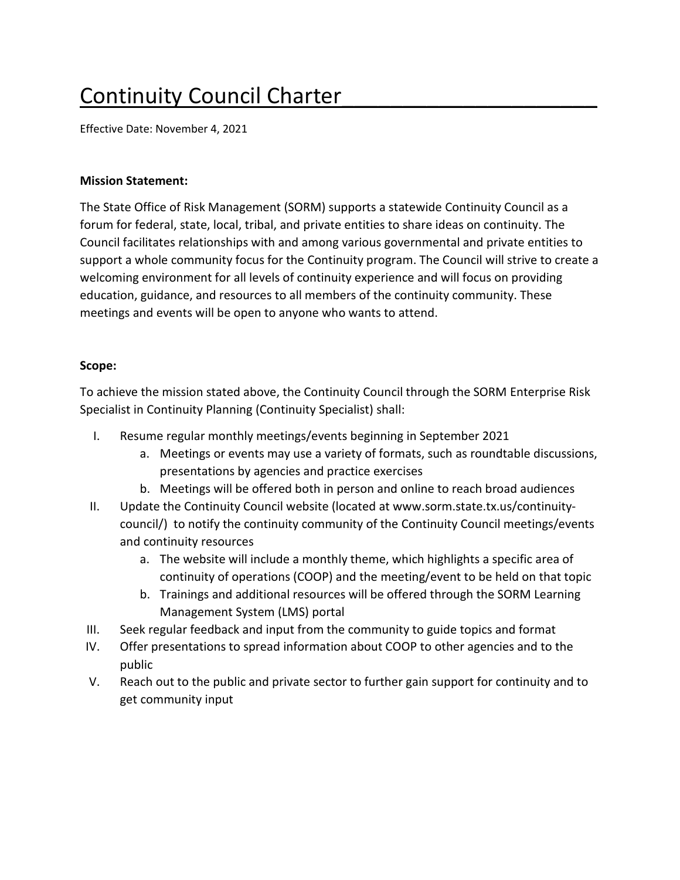# Continuity Council Charter\_\_\_\_\_\_\_\_\_\_\_\_\_\_\_\_\_\_\_\_\_

Effective Date: November 4, 2021

#### **Mission Statement:**

The State Office of Risk Management (SORM) supports a statewide Continuity Council as a forum for federal, state, local, tribal, and private entities to share ideas on continuity. The Council facilitates relationships with and among various governmental and private entities to support a whole community focus for the Continuity program. The Council will strive to create a welcoming environment for all levels of continuity experience and will focus on providing education, guidance, and resources to all members of the continuity community. These meetings and events will be open to anyone who wants to attend.

## **Scope:**

To achieve the mission stated above, the Continuity Council through the SORM Enterprise Risk Specialist in Continuity Planning (Continuity Specialist) shall:

- I. Resume regular monthly meetings/events beginning in September 2021
	- a. Meetings or events may use a variety of formats, such as roundtable discussions, presentations by agencies and practice exercises
	- b. Meetings will be offered both in person and online to reach broad audiences
- II. Update the Continuity Council website (located at www.sorm.state.tx.us/continuitycouncil/) to notify the continuity community of the Continuity Council meetings/events and continuity resources
	- a. The website will include a monthly theme, which highlights a specific area of continuity of operations (COOP) and the meeting/event to be held on that topic
	- b. Trainings and additional resources will be offered through the SORM Learning Management System (LMS) portal
- III. Seek regular feedback and input from the community to guide topics and format
- IV. Offer presentations to spread information about COOP to other agencies and to the public
- V. Reach out to the public and private sector to further gain support for continuity and to get community input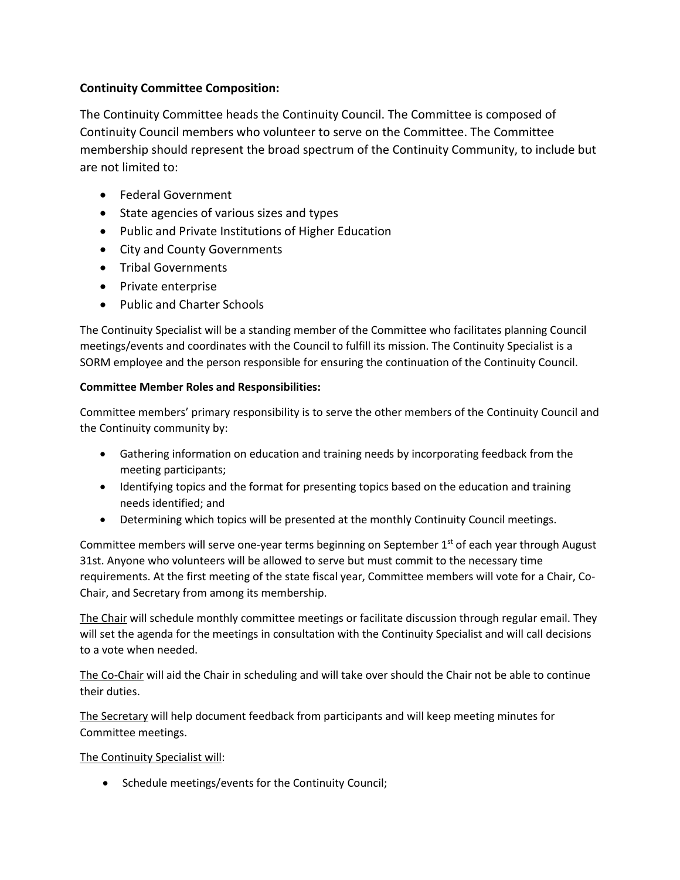## **Continuity Committee Composition:**

The Continuity Committee heads the Continuity Council. The Committee is composed of Continuity Council members who volunteer to serve on the Committee. The Committee membership should represent the broad spectrum of the Continuity Community, to include but are not limited to:

- Federal Government
- State agencies of various sizes and types
- Public and Private Institutions of Higher Education
- City and County Governments
- Tribal Governments
- Private enterprise
- Public and Charter Schools

The Continuity Specialist will be a standing member of the Committee who facilitates planning Council meetings/events and coordinates with the Council to fulfill its mission. The Continuity Specialist is a SORM employee and the person responsible for ensuring the continuation of the Continuity Council.

#### **Committee Member Roles and Responsibilities:**

Committee members' primary responsibility is to serve the other members of the Continuity Council and the Continuity community by:

- Gathering information on education and training needs by incorporating feedback from the meeting participants;
- Identifying topics and the format for presenting topics based on the education and training needs identified; and
- Determining which topics will be presented at the monthly Continuity Council meetings.

Committee members will serve one-year terms beginning on September  $1<sup>st</sup>$  of each year through August 31st. Anyone who volunteers will be allowed to serve but must commit to the necessary time requirements. At the first meeting of the state fiscal year, Committee members will vote for a Chair, Co-Chair, and Secretary from among its membership.

The Chair will schedule monthly committee meetings or facilitate discussion through regular email. They will set the agenda for the meetings in consultation with the Continuity Specialist and will call decisions to a vote when needed.

The Co-Chair will aid the Chair in scheduling and will take over should the Chair not be able to continue their duties.

The Secretary will help document feedback from participants and will keep meeting minutes for Committee meetings.

The Continuity Specialist will:

• Schedule meetings/events for the Continuity Council;